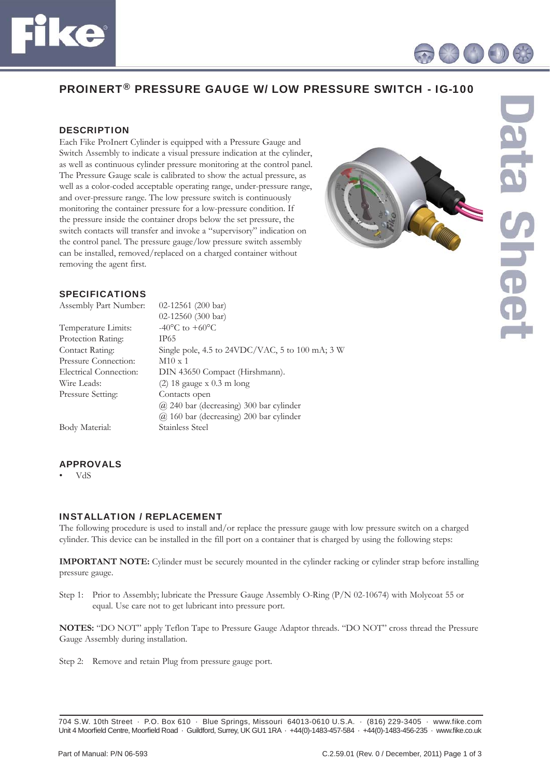



# PROINERT® PRESSURE GAUGE W/ LOW PRESSURE SWITCH - IG-100

# **DESCRIPTION**

Each Fike ProInert Cylinder is equipped with a Pressure Gauge and Switch Assembly to indicate a visual pressure indication at the cylinder, as well as continuous cylinder pressure monitoring at the control panel. The Pressure Gauge scale is calibrated to show the actual pressure, as well as a color-coded acceptable operating range, under-pressure range, and over-pressure range. The low pressure switch is continuously monitoring the container pressure for a low-pressure condition. If the pressure inside the container drops below the set pressure, the switch contacts will transfer and invoke a "supervisory" indication on the control panel. The pressure gauge/low pressure switch assembly can be installed, removed/replaced on a charged container without removing the agent first.



## SPECIFICATIONS

| Assembly Part Number:  | $02-12561$ (200 bar)                            |
|------------------------|-------------------------------------------------|
|                        | 02-12560 (300 bar)                              |
| Temperature Limits:    | $-40^{\circ}$ C to $+60^{\circ}$ C              |
| Protection Rating:     | IP65                                            |
| Contact Rating:        | Single pole, 4.5 to 24VDC/VAC, 5 to 100 mA; 3 W |
| Pressure Connection:   | $M10 \times 1$                                  |
| Electrical Connection: | DIN 43650 Compact (Hirshmann).                  |
| Wire Leads:            | $(2)$ 18 gauge x 0.3 m long                     |
| Pressure Setting:      | Contacts open                                   |
|                        | (a) 240 bar (decreasing) 300 bar cylinder       |
|                        | $\omega$ 160 bar (decreasing) 200 bar cylinder  |

Body Material: Stainless Steel

#### APPROVALS

• VdS

#### INSTALLATION / REPLACEMENT

The following procedure is used to install and/or replace the pressure gauge with low pressure switch on a charged cylinder. This device can be installed in the fill port on a container that is charged by using the following steps:

**IMPORTANT NOTE:** Cylinder must be securely mounted in the cylinder racking or cylinder strap before installing pressure gauge.

Step 1: Prior to Assembly; lubricate the Pressure Gauge Assembly O-Ring (P/N 02-10674) with Molycoat 55 or equal. Use care not to get lubricant into pressure port.

**NOTES:** "DO NOT" apply Teflon Tape to Pressure Gauge Adaptor threads. "DO NOT" cross thread the Pressure Gauge Assembly during installation.

Step 2: Remove and retain Plug from pressure gauge port.

<sup>704</sup> S.W. 10th Street · P.O. Box 610 · Blue Springs, Missouri 64013-0610 U.S.A. · (816) 229-3405 · www.fike.com Unit 4 Moorfield Centre, Moorfield Road · Guildford, Surrey, UK GU1 1RA · +44(0)-1483-457-584 · +44(0)-1483-456-235 · www.fike.co.uk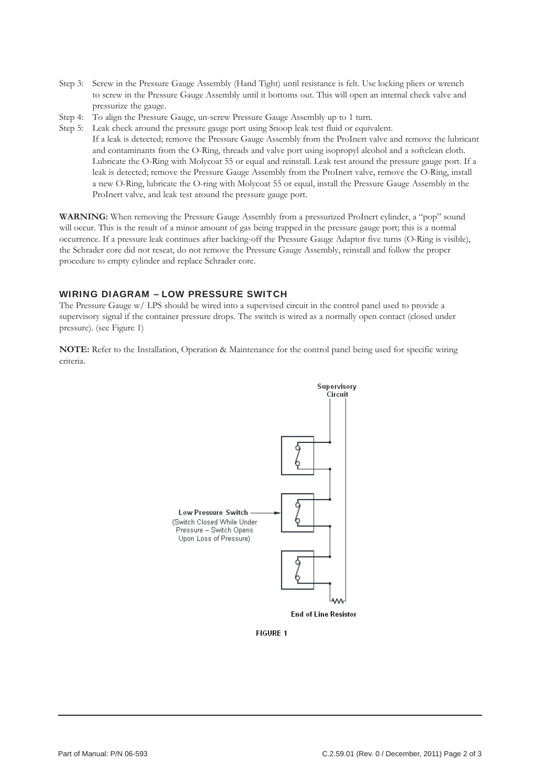- Step 3: Screw in the Pressure Gauge Assembly (Hand Tight) until resistance is felt. Use locking pliers or wrench to screw in the Pressure Gauge Assembly until it bottoms out. This will open an internal check valve and pressurize the gauge.
- Step 4: To align the Pressure Gauge, un-screw Pressure Gauge Assembly up to 1 turn.
- Step 5: Leak check around the pressure gauge port using Snoop leak test fluid or equivalent. If a leak is detected; remove the Pressure Gauge Assembly from the ProInert valve and remove the lubricant and contaminants from the O-Ring, threads and valve port using isopropyl alcohol and a softclean cloth. Lubricate the O-Ring with Molycoat 55 or equal and reinstall. Leak test around the pressure gauge port. If a leak is detected; remove the Pressure Gauge Assembly from the ProInert valve, remove the O-Ring, install a new O-Ring, lubricate the O-ring with Molycoat 55 or equal, install the Pressure Gauge Assembly in the ProInert valve, and leak test around the pressure gauge port.

**WARNING:** When removing the Pressure Gauge Assembly from a pressurized ProInert cylinder, a "pop" sound will occur. This is the result of a minor amount of gas being trapped in the pressure gauge port; this is a normal occurrence. If a pressure leak continues after backing-off the Pressure Gauge Adaptor five turns (O-Ring is visible), the Schrader core did not reseat, do not remove the Pressure Gauge Assembly, reinstall and follow the proper procedure to empty cylinder and replace Schrader core.

# WIRING DIAGRAM – LOW PRESSURE SWITCH

The Pressure Gauge w/ LPS should be wired into a supervised circuit in the control panel used to provide a supervisory signal if the container pressure drops. The switch is wired as a normally open contact (closed under pressure). (see Figure 1)

**NOTE:** Refer to the Installation, Operation & Maintenance for the control panel being used for specific wiring criteria.